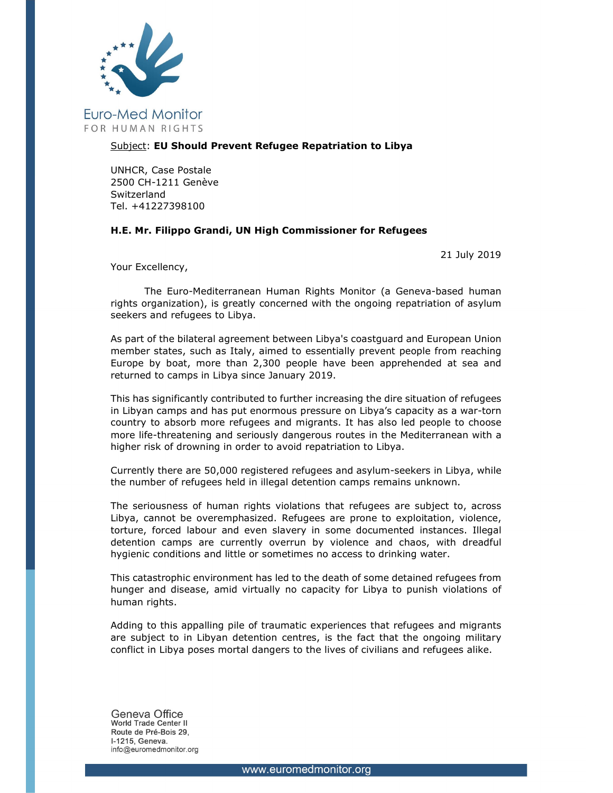

## Subject: EU Should Prevent Refugee Repatriation to Libya

UNHCR, Case Postale 2500 CH-1211 Genève **Switzerland** Tel. +41227398100

## H.E. Mr. Filippo Grandi, UN High Commissioner for Refugees

21 July 2019

Your Excellency,

The Euro-Mediterranean Human Rights Monitor (a Geneva-based human rights organization), is greatly concerned with the ongoing repatriation of asylum seekers and refugees to Libya.

As part of the bilateral agreement between Libya's coastguard and European Union member states, such as Italy, aimed to essentially prevent people from reaching Europe by boat, more than 2,300 people have been apprehended at sea and returned to camps in Libya since January 2019.

This has significantly contributed to further increasing the dire situation of refugees in Libyan camps and has put enormous pressure on Libya's capacity as a war-torn country to absorb more refugees and migrants. It has also led people to choose more life-threatening and seriously dangerous routes in the Mediterranean with a higher risk of drowning in order to avoid repatriation to Libya.

Currently there are 50,000 registered refugees and asylum-seekers in Libya, while the number of refugees held in illegal detention camps remains unknown.

The seriousness of human rights violations that refugees are subject to, across Libya, cannot be overemphasized. Refugees are prone to exploitation, violence, torture, forced labour and even slavery in some documented instances. Illegal detention camps are currently overrun by violence and chaos, with dreadful hygienic conditions and little or sometimes no access to drinking water.

This catastrophic environment has led to the death of some detained refugees from hunger and disease, amid virtually no capacity for Libya to punish violations of human rights.

Adding to this appalling pile of traumatic experiences that refugees and migrants are subject to in Libyan detention centres, is the fact that the ongoing military conflict in Libya poses mortal dangers to the lives of civilians and refugees alike.

Geneva Office World Trade Center II Route de Pré-Bois 29,  $L$ 1215 Geneva info@euromedmonitor.org